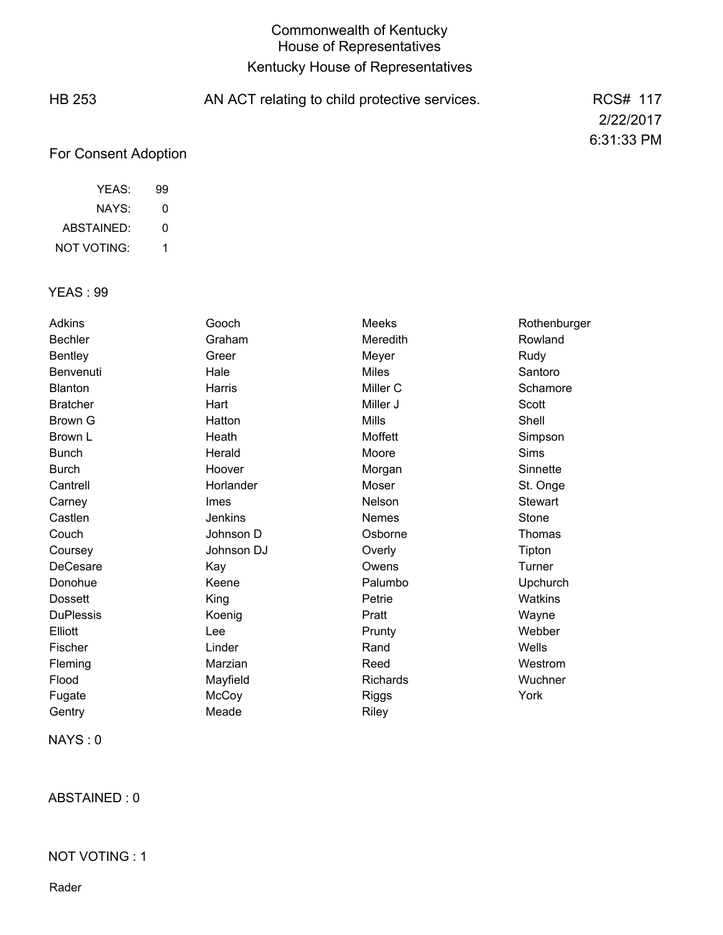## Commonwealth of Kentucky House of Representatives Kentucky House of Representatives

| <b>HB 253</b>        | AN ACT relating to child protective services. | <b>RCS# 117</b> |
|----------------------|-----------------------------------------------|-----------------|
|                      |                                               | 2/22/2017       |
|                      |                                               | 6:31:33 PM      |
| For Consent Adoption |                                               |                 |

| YFAS:       | 99 |
|-------------|----|
| NAYS:       | O  |
| ABSTAINED:  | O  |
| NOT VOTING: |    |

### YEAS : 99

| Adkins           | Gooch          | Meeks           | Rothenburger |
|------------------|----------------|-----------------|--------------|
| <b>Bechler</b>   | Graham         | Meredith        | Rowland      |
| <b>Bentley</b>   | Greer          | Meyer           | Rudy         |
| Benvenuti        | Hale           | <b>Miles</b>    | Santoro      |
| <b>Blanton</b>   | Harris         | Miller C        | Schamore     |
| <b>Bratcher</b>  | Hart           | Miller J        | Scott        |
| Brown G          | Hatton         | <b>Mills</b>    | Shell        |
| Brown L          | Heath          | Moffett         | Simpson      |
| <b>Bunch</b>     | Herald         | Moore           | Sims         |
| <b>Burch</b>     | Hoover         | Morgan          | Sinnette     |
| Cantrell         | Horlander      | Moser           | St. Onge     |
| Carney           | Imes           | Nelson          | Stewart      |
| Castlen          | <b>Jenkins</b> | Nemes           | Stone        |
| Couch            | Johnson D      | Osborne         | Thomas       |
| Coursey          | Johnson DJ     | Overly          | Tipton       |
| DeCesare         | Kay            | Owens           | Turner       |
| Donohue          | Keene          | Palumbo         | Upchurch     |
| <b>Dossett</b>   | King           | Petrie          | Watkins      |
| <b>DuPlessis</b> | Koenig         | Pratt           | Wayne        |
| Elliott          | Lee            | Prunty          | Webber       |
| Fischer          | Linder         | Rand            | Wells        |
| Fleming          | Marzian        | Reed            | Westrom      |
| Flood            | Mayfield       | <b>Richards</b> | Wuchner      |
| Fugate           | McCoy          | Riggs           | York         |
| Gentry           | Meade          | Riley           |              |

NAYS : 0

ABSTAINED : 0

#### NOT VOTING : 1

Rader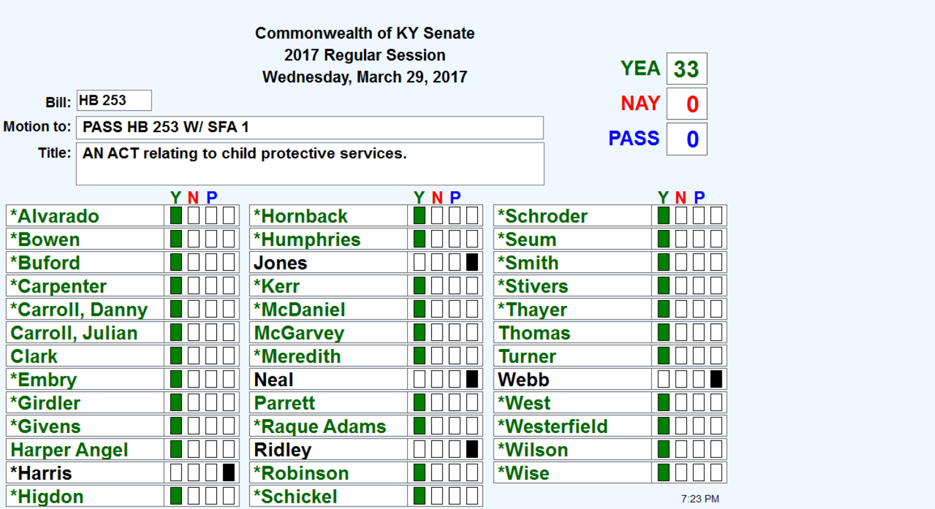|                        |                                                             |                             | <b>Commonwealth of KY Senate</b>                  |     |           |              |         |  |
|------------------------|-------------------------------------------------------------|-----------------------------|---------------------------------------------------|-----|-----------|--------------|---------|--|
|                        |                                                             |                             | 2017 Regular Session<br>Wednesday, March 29, 2017 |     |           | <b>YEA</b>   | 33      |  |
|                        | <b>Bill: HB 253</b>                                         |                             |                                                   |     |           | <b>NAY</b>   | 0       |  |
| Motion to:             |                                                             | <b>PASS HB 253 W/ SFA 1</b> |                                                   |     |           | <b>PASS</b>  |         |  |
|                        | 0<br>Title:   AN ACT relating to child protective services. |                             |                                                   |     |           |              |         |  |
|                        |                                                             | YNP                         |                                                   | YNP |           |              | YNP     |  |
| <b>*Alvarado</b>       |                                                             |                             | *Hornback                                         |     | *Schroder |              |         |  |
| *Bowen                 |                                                             |                             | <b>*Humphries</b>                                 |     | *Seum     |              |         |  |
| *Buford                |                                                             |                             | <b>Jones</b>                                      |     | *Smith    |              |         |  |
| *Carpenter             |                                                             |                             | *Kerr                                             |     | *Stivers  |              |         |  |
|                        | *Carroll, Danny                                             |                             | <b>*McDaniel</b>                                  |     | *Thayer   |              |         |  |
| <b>Carroll, Julian</b> |                                                             |                             | <b>McGarvey</b>                                   |     | Thomas    |              |         |  |
| <b>Clark</b>           |                                                             |                             | *Meredith                                         |     | Turner    |              |         |  |
| *Embry                 |                                                             |                             | <b>Neal</b>                                       |     | Webb      |              |         |  |
| *Girdler               |                                                             |                             | <b>Parrett</b>                                    |     | *West     |              |         |  |
| <i><b>*Givens</b></i>  |                                                             |                             | <b>*Raque Adams</b>                               |     |           | *Westerfield |         |  |
| <b>Harper Angel</b>    |                                                             |                             | <b>Ridley</b>                                     |     | *Wilson   |              |         |  |
| <b>*Harris</b>         |                                                             |                             | <b>*Robinson</b>                                  |     | *Wise     |              |         |  |
| *Higdon                |                                                             |                             | *Schickel                                         |     |           |              | 7:23 PM |  |